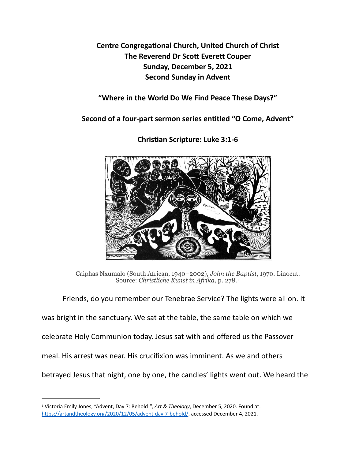**Centre Congregational Church, United Church of Christ The Reverend Dr Scott Everett Couper Sunday, December 5, 2021 Second Sunday in Advent** 

**"Where in the World Do We Find Peace These Days?"** 

Second of a four-part sermon series entitled "O Come, Advent"



**Chris\*an Scripture: Luke 3:1-6** 

<span id="page-0-1"></span>Caiphas Nxumalo (South African, 1940–2002), *John the Baptist*, 1970. Linocut. Source: *[Christliche Kunst in Afrika](https://amzn.to/3mIWitH)*, p. 278[.1](#page-0-0)

Friends, do you remember our Tenebrae Service? The lights were all on. It

was bright in the sanctuary. We sat at the table, the same table on which we

celebrate Holy Communion today. Jesus sat with and offered us the Passover

meal. His arrest was near. His crucifixion was imminent. As we and others

betrayed Jesus that night, one by one, the candles' lights went out. We heard the

<span id="page-0-0"></span><sup>&</sup>lt;sup>[1](#page-0-1)</sup> Victoria Emily Jones, "Advent, Day 7: Behold!", *Art & Theology*, December 5, 2020. Found at: https://artandtheology.org/2020/12/05/advent-day-7-behold/, accessed December 4, 2021.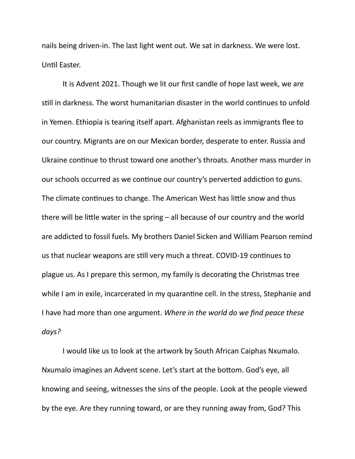nails being driven-in. The last light went out. We sat in darkness. We were lost. Until Easter.

 It is Advent 2021. Though we lit our first candle of hope last week, we are still in darkness. The worst humanitarian disaster in the world continues to unfold in Yemen. Ethiopia is tearing itself apart. Afghanistan reels as immigrants flee to our country. Migrants are on our Mexican border, desperate to enter. Russia and Ukraine continue to thrust toward one another's throats. Another mass murder in our schools occurred as we continue our country's perverted addiction to guns. The climate continues to change. The American West has little snow and thus there will be little water in the spring  $-$  all because of our country and the world are addicted to fossil fuels. My brothers Daniel Sicken and William Pearson remind us that nuclear weapons are still very much a threat. COVID-19 continues to plague us. As I prepare this sermon, my family is decorating the Christmas tree while I am in exile, incarcerated in my quarantine cell. In the stress, Stephanie and I have had more than one argument. *Where in the world do we find peace these days?* 

 I would like us to look at the artwork by South African Caiphas Nxumalo. Nxumalo imagines an Advent scene. Let's start at the bottom. God's eye, all knowing and seeing, witnesses the sins of the people. Look at the people viewed by the eye. Are they running toward, or are they running away from, God? This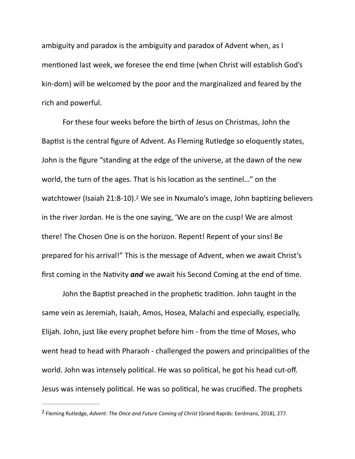ambiguity and paradox is the ambiguity and paradox of Advent when, as I mentioned last week, we foresee the end time (when Christ will establish God's kin-dom) will be welcomed by the poor and the marginalized and feared by the rich and powerful.

<span id="page-2-1"></span> For these four weeks before the birth of Jesus on Christmas, John the Baptist is the central figure of Advent. As Fleming Rutledge so eloquently states, John is the figure "standing at the edge of the universe, at the dawn of the new world, the turn of the ages. That is his location as the sentinel..." on the watchtower (Isaiah [2](#page-2-0)1:8-10).<sup>2</sup> We see in Nxumalo's image, John baptizing believers in the river Jordan. He is the one saying, 'We are on the cusp! We are almost there! The Chosen One is on the horizon. Repent! Repent of your sins! Be prepared for his arrival!" This is the message of Advent, when we await Christ's first coming in the Nativity *and* we await his Second Coming at the end of time.

John the Baptist preached in the prophetic tradition. John taught in the same vein as Jeremiah, Isaiah, Amos, Hosea, Malachi and especially, especially, Elijah. John, just like every prophet before him - from the time of Moses, who went head to head with Pharaoh - challenged the powers and principalities of the world. John was intensely political. He was so political, he got his head cut-off. Jesus was intensely political. He was so political, he was crucified. The prophets

<span id="page-2-0"></span>Fleming Rutledge, *Advent: The Once and Future Coming of Christ* (Grand Rapids: Eerdmans, 2018), 277. [2](#page-2-1)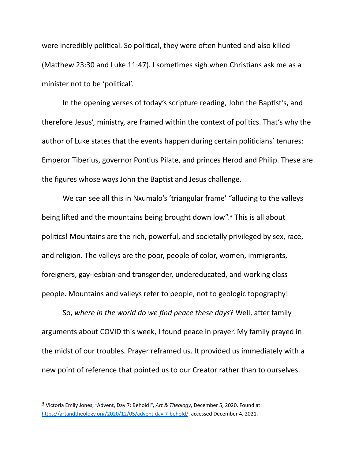were incredibly political. So political, they were often hunted and also killed (Matthew 23:30 and Luke 11:47). I sometimes sigh when Christians ask me as a minister not to be 'political'.

In the opening verses of today's scripture reading, John the Baptist's, and therefore Jesus', ministry, are framed within the context of politics. That's why the author of Luke states that the events happen during certain politicians' tenures: Emperor Tiberius, governor Pontius Pilate, and princes Herod and Philip. These are the figures whose ways John the Baptist and Jesus challenge.

<span id="page-3-1"></span> We can see all this in Nxumalo's 'triangular frame' "alluding to the valleys being lifted and the mountains being brought down low".<sup>[3](#page-3-0)</sup> This is all about politics! Mountains are the rich, powerful, and societally privileged by sex, race, and religion. The valleys are the poor, people of color, women, immigrants, foreigners, gay-lesbian-and transgender, undereducated, and working class people. Mountains and valleys refer to people, not to geologic topography!

So, where in the world do we find peace these days? Well, after family arguments about COVID this week, I found peace in prayer. My family prayed in the midst of our troubles. Prayer reframed us. It provided us immediately with a new point of reference that pointed us to our Creator rather than to ourselves.

<span id="page-3-0"></span>Victoria Emily Jones, "Advent, Day 7: Behold!", *Art & Theology*, December 5, 2020. Found at: [3](#page-3-1) https://artandtheology.org/2020/12/05/advent-day-7-behold/, accessed December 4, 2021.